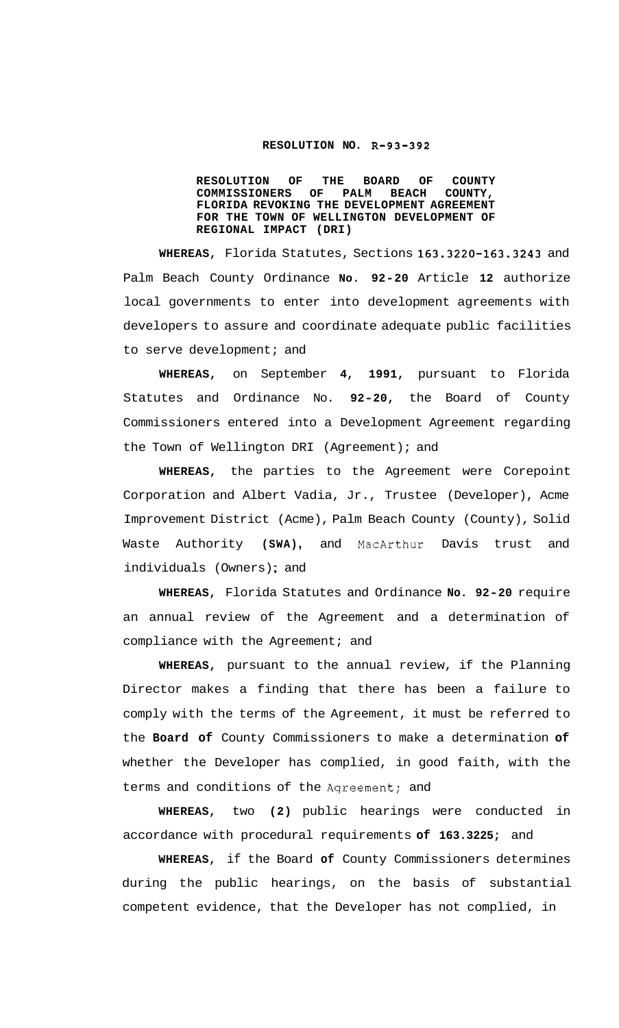## **RESOLUTION NO. R-93-392**

**RESOLUTION OF THE BOARD OF COUNTY**  COMMISSIONERS **FLORIDA REVOKING THE DEVELOPMENT AGREEMENT FOR THE TOWN OF WELLINGTON DEVELOPMENT OF REGIONAL IMPACT (DRI)** 

**WHEREAS,** Florida Statutes, Sections **163.3220-163.3243** and Palm Beach County Ordinance **No. 92-20** Article **12** authorize local governments to enter into development agreements with developers to assure and coordinate adequate public facilities to serve development; and

**WHEREAS,** on September **4, 1991,** pursuant to Florida Statutes and Ordinance No. **92-20,** the Board of County Commissioners entered into a Development Agreement regarding the Town of Wellington DRI (Agreement); and

**WHEREAS,** the parties to the Agreement were Corepoint Corporation and Albert Vadia, Jr., Trustee (Developer), Acme Improvement District (Acme), Palm Beach County (County), Solid Waste Authority (SWA), and MacArthur Davis trust and individuals (Owners); and

**WHEREAS,** Florida Statutes and Ordinance **No. 92-20** require an annual review of the Agreement and a determination of compliance with the Agreement; and

**WHEREAS,** pursuant to the annual review, if the Planning Director makes a finding that there has been a failure to comply with the terms of the Agreement, it must be referred to the **Board of** County Commissioners to make a determination **of**  whether the Developer has complied, in good faith, with the terms and conditions of the Aqreement; and

**WHEREAS,** two **(2)** public hearings were conducted in accordance with procedural requirements **of 163.3225;** and

**WHEREAS,** if the Board **of** County Commissioners determines during the public hearings, on the basis of substantial competent evidence, that the Developer has not complied, in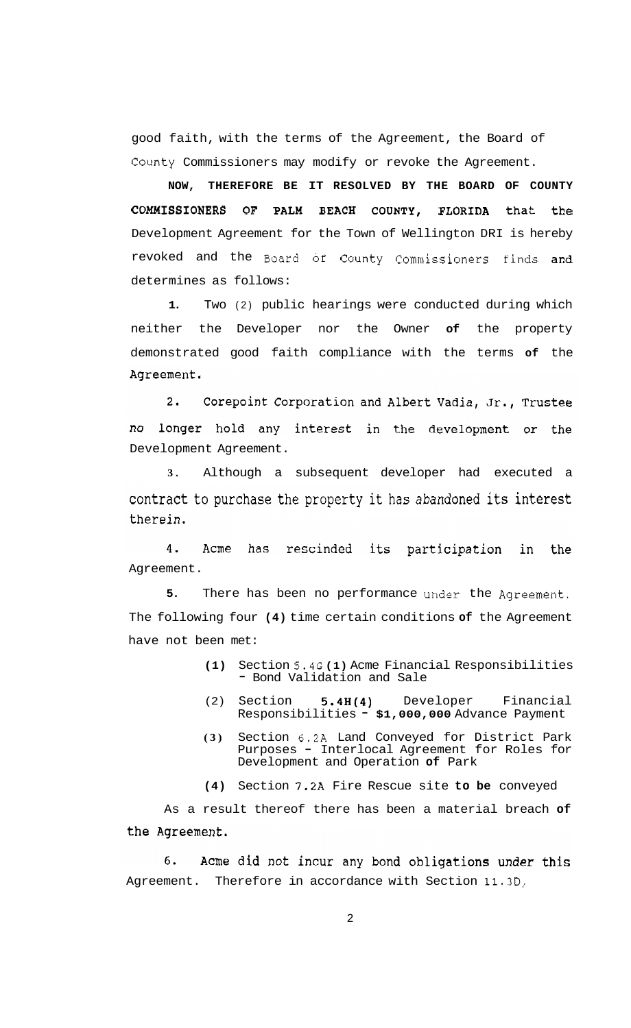good faith, with the terms of the Agreement, the Board of County Commissioners may modify or revoke the Agreement.

**NOW, THEREFORE BE IT RESOLVED BY THE BOARD OF COUNTY COMMISSIONERS OF PALM BEACH COUNTY, FLORIDA** that the Development Agreement for the Town of Wellington DRI is hereby revoked and the Board of County Commissioners finds and determines as follows:

**1.** Two (2) public hearings were conducted during which neither the Developer nor the Owner **of** the property demonstrated good faith compliance with the terms **of** the Agreement.

 $2.$ Corepoint Corporation and Albert Vadia, Jr., Trustee longer hold any interest in the development or the no Development Agreement.

**3.** Although a subsequent developer had executed a contract to purchase the property it has abandoned its interest therein.

4. Acme has rescinded its participation in the Agreement.

**5.** There has been no performance under the Agreement. The following four **(4)** time certain conditions **of** the Agreement have not been met:

- **(1)** Section 5.4G **(1)** Acme Financial Responsibilities - Bond Validation and Sale
- (2) Section **5.4H(4)** Developer Financial Responsibilities **\$1,000,000** Advance Payment
- **(3)** Section 6.2A Land Conveyed for District Park Purposes - Interlocal Agreement for Roles for Development and Operation **of** Park

**(4)** Section **7.2A** Fire Rescue site **to be** conveyed

As a result thereof there has been a material breach **of**  the Agreement.

Acme did not incur any bond obligations under this 6. Agreement. Therefore in accordance with Section **11.3D,**